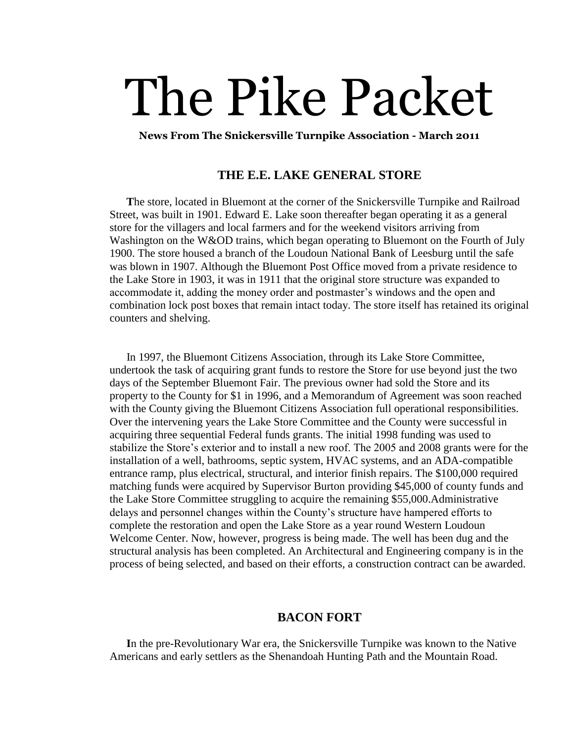# The Pike Packet

**News From The Snickersville Turnpike Association - March 2011**

# **THE E.E. LAKE GENERAL STORE**

 **T**he store, located in Bluemont at the corner of the Snickersville Turnpike and Railroad Street, was built in 1901. Edward E. Lake soon thereafter began operating it as a general store for the villagers and local farmers and for the weekend visitors arriving from Washington on the W&OD trains, which began operating to Bluemont on the Fourth of July 1900. The store housed a branch of the Loudoun National Bank of Leesburg until the safe was blown in 1907. Although the Bluemont Post Office moved from a private residence to the Lake Store in 1903, it was in 1911 that the original store structure was expanded to accommodate it, adding the money order and postmaster's windows and the open and combination lock post boxes that remain intact today. The store itself has retained its original counters and shelving.

In 1997, the Bluemont Citizens Association, through its Lake Store Committee, undertook the task of acquiring grant funds to restore the Store for use beyond just the two days of the September Bluemont Fair. The previous owner had sold the Store and its property to the County for \$1 in 1996, and a Memorandum of Agreement was soon reached with the County giving the Bluemont Citizens Association full operational responsibilities. Over the intervening years the Lake Store Committee and the County were successful in acquiring three sequential Federal funds grants. The initial 1998 funding was used to stabilize the Store's exterior and to install a new roof. The 2005 and 2008 grants were for the installation of a well, bathrooms, septic system, HVAC systems, and an ADA-compatible entrance ramp, plus electrical, structural, and interior finish repairs. The \$100,000 required matching funds were acquired by Supervisor Burton providing \$45,000 of county funds and the Lake Store Committee struggling to acquire the remaining \$55,000.Administrative delays and personnel changes within the County's structure have hampered efforts to complete the restoration and open the Lake Store as a year round Western Loudoun Welcome Center. Now, however, progress is being made. The well has been dug and the structural analysis has been completed. An Architectural and Engineering company is in the process of being selected, and based on their efforts, a construction contract can be awarded.

## **BACON FORT**

 **I**n the pre-Revolutionary War era, the Snickersville Turnpike was known to the Native Americans and early settlers as the Shenandoah Hunting Path and the Mountain Road.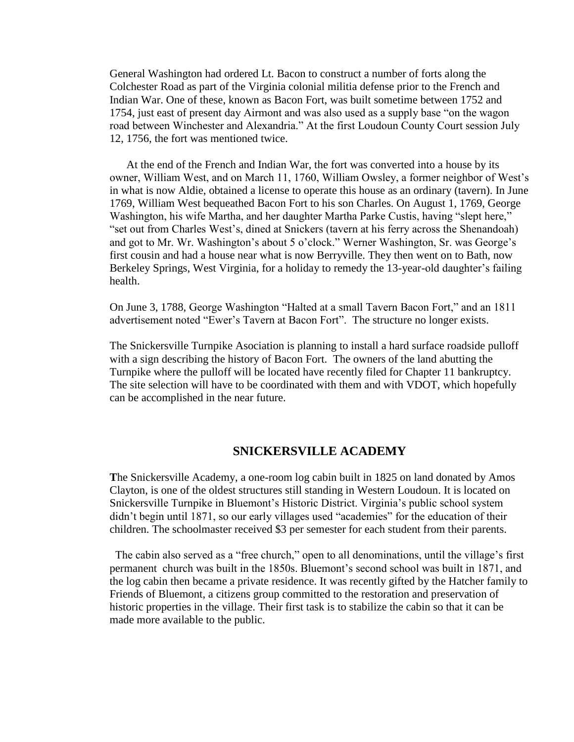General Washington had ordered Lt. Bacon to construct a number of forts along the Colchester Road as part of the Virginia colonial militia defense prior to the French and Indian War. One of these, known as Bacon Fort, was built sometime between 1752 and 1754, just east of present day Airmont and was also used as a supply base "on the wagon road between Winchester and Alexandria." At the first Loudoun County Court session July 12, 1756, the fort was mentioned twice.

 At the end of the French and Indian War, the fort was converted into a house by its owner, William West, and on March 11, 1760, William Owsley, a former neighbor of West's in what is now Aldie, obtained a license to operate this house as an ordinary (tavern). In June 1769, William West bequeathed Bacon Fort to his son Charles. On August 1, 1769, George Washington, his wife Martha, and her daughter Martha Parke Custis, having "slept here," "set out from Charles West's, dined at Snickers (tavern at his ferry across the Shenandoah) and got to Mr. Wr. Washington's about 5 o'clock." Werner Washington, Sr. was George's first cousin and had a house near what is now Berryville. They then went on to Bath, now Berkeley Springs, West Virginia, for a holiday to remedy the 13-year-old daughter's failing health.

On June 3, 1788, George Washington "Halted at a small Tavern Bacon Fort," and an 1811 advertisement noted "Ewer's Tavern at Bacon Fort". The structure no longer exists.

The Snickersville Turnpike Asociation is planning to install a hard surface roadside pulloff with a sign describing the history of Bacon Fort. The owners of the land abutting the Turnpike where the pulloff will be located have recently filed for Chapter 11 bankruptcy. The site selection will have to be coordinated with them and with VDOT, which hopefully can be accomplished in the near future.

## **SNICKERSVILLE ACADEMY**

**T**he Snickersville Academy, a one-room log cabin built in 1825 on land donated by Amos Clayton, is one of the oldest structures still standing in Western Loudoun. It is located on Snickersville Turnpike in Bluemont's Historic District. Virginia's public school system didn't begin until 1871, so our early villages used "academies" for the education of their children. The schoolmaster received \$3 per semester for each student from their parents.

The cabin also served as a "free church," open to all denominations, until the village's first permanent church was built in the 1850s. Bluemont's second school was built in 1871, and the log cabin then became a private residence. It was recently gifted by the Hatcher family to Friends of Bluemont, a citizens group committed to the restoration and preservation of historic properties in the village. Their first task is to stabilize the cabin so that it can be made more available to the public.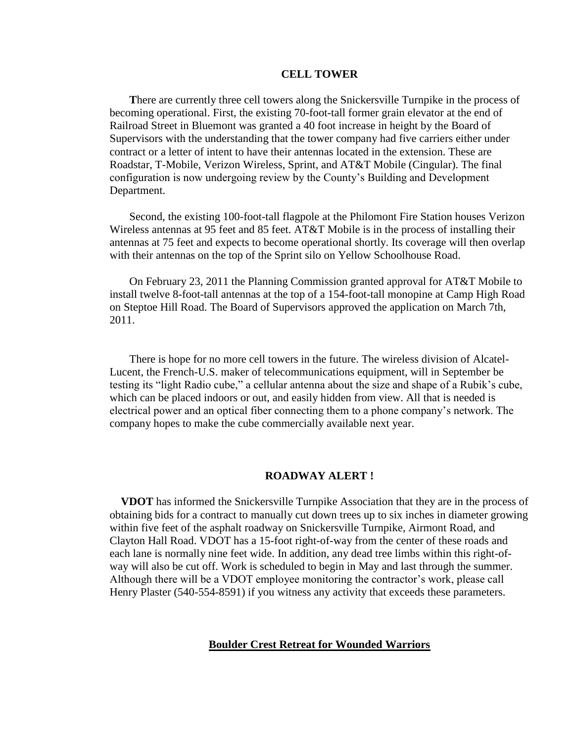#### **CELL TOWER**

 **T**here are currently three cell towers along the Snickersville Turnpike in the process of becoming operational. First, the existing 70-foot-tall former grain elevator at the end of Railroad Street in Bluemont was granted a 40 foot increase in height by the Board of Supervisors with the understanding that the tower company had five carriers either under contract or a letter of intent to have their antennas located in the extension. These are Roadstar, T-Mobile, Verizon Wireless, Sprint, and AT&T Mobile (Cingular). The final configuration is now undergoing review by the County's Building and Development Department.

Second, the existing 100-foot-tall flagpole at the Philomont Fire Station houses Verizon Wireless antennas at 95 feet and 85 feet. AT&T Mobile is in the process of installing their antennas at 75 feet and expects to become operational shortly. Its coverage will then overlap with their antennas on the top of the Sprint silo on Yellow Schoolhouse Road.

On February 23, 2011 the Planning Commission granted approval for AT&T Mobile to install twelve 8-foot-tall antennas at the top of a 154-foot-tall monopine at Camp High Road on Steptoe Hill Road. The Board of Supervisors approved the application on March 7th, 2011.

There is hope for no more cell towers in the future. The wireless division of Alcatel-Lucent, the French-U.S. maker of telecommunications equipment, will in September be testing its "light Radio cube," a cellular antenna about the size and shape of a Rubik's cube, which can be placed indoors or out, and easily hidden from view. All that is needed is electrical power and an optical fiber connecting them to a phone company's network. The company hopes to make the cube commercially available next year.

### **ROADWAY ALERT !**

 **VDOT** has informed the Snickersville Turnpike Association that they are in the process of obtaining bids for a contract to manually cut down trees up to six inches in diameter growing within five feet of the asphalt roadway on Snickersville Turnpike, Airmont Road, and Clayton Hall Road. VDOT has a 15-foot right-of-way from the center of these roads and each lane is normally nine feet wide. In addition, any dead tree limbs within this right-ofway will also be cut off. Work is scheduled to begin in May and last through the summer. Although there will be a VDOT employee monitoring the contractor's work, please call Henry Plaster (540-554-8591) if you witness any activity that exceeds these parameters.

#### **Boulder Crest Retreat for Wounded Warriors**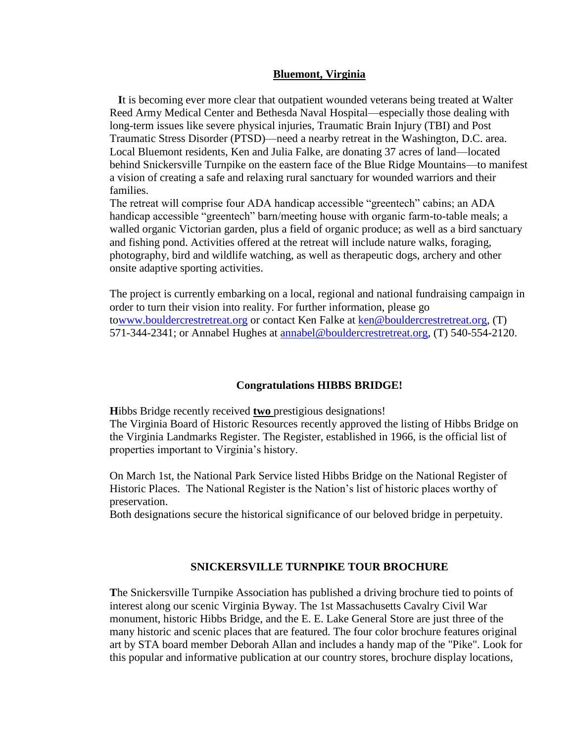### **Bluemont, Virginia**

 **I**t is becoming ever more clear that outpatient wounded veterans being treated at Walter Reed Army Medical Center and Bethesda Naval Hospital—especially those dealing with long-term issues like severe physical injuries, Traumatic Brain Injury (TBI) and Post Traumatic Stress Disorder (PTSD)—need a nearby retreat in the Washington, D.C. area. Local Bluemont residents, Ken and Julia Falke, are donating 37 acres of land—located behind Snickersville Turnpike on the eastern face of the Blue Ridge Mountains—to manifest a vision of creating a safe and relaxing rural sanctuary for wounded warriors and their families.

The retreat will comprise four ADA handicap accessible "greentech" cabins; an ADA handicap accessible "greentech" barn/meeting house with organic farm-to-table meals; a walled organic Victorian garden, plus a field of organic produce; as well as a bird sanctuary and fishing pond. Activities offered at the retreat will include nature walks, foraging, photography, bird and wildlife watching, as well as therapeutic dogs, archery and other onsite adaptive sporting activities.

The project is currently embarking on a local, regional and national fundraising campaign in order to turn their vision into reality. For further information, please go t[owww.bouldercrestretreat.org](http://www.bouldercrestretreat.org/) or contact Ken Falke at [ken@bouldercrestretreat.org,](mailto:ken@bouldercrestretreat.org) (T) 571-344-2341; or Annabel Hughes at **annabel@bouldercrestretreat.org**, (T) 540-554-2120.

#### **Congratulations HIBBS BRIDGE!**

**H**ibbs Bridge recently received **two** prestigious designations! The Virginia Board of Historic Resources recently approved the listing of Hibbs Bridge on the Virginia Landmarks Register. The Register, established in 1966, is the official list of properties important to Virginia's history.

On March 1st, the National Park Service listed Hibbs Bridge on the National Register of Historic Places. The National Register is the Nation's list of historic places worthy of preservation.

Both designations secure the historical significance of our beloved bridge in perpetuity.

## **SNICKERSVILLE TURNPIKE TOUR BROCHURE**

**T**he Snickersville Turnpike Association has published a driving brochure tied to points of interest along our scenic Virginia Byway. The 1st Massachusetts Cavalry Civil War monument, historic Hibbs Bridge, and the E. E. Lake General Store are just three of the many historic and scenic places that are featured. The four color brochure features original art by STA board member Deborah Allan and includes a handy map of the "Pike". Look for this popular and informative publication at our country stores, brochure display locations,